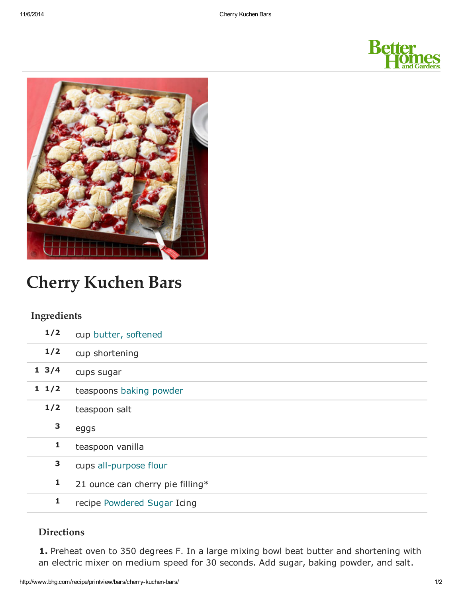



# Cherry Kuchen Bars

#### Ingredients

| 1/2             | cup butter, softened             |
|-----------------|----------------------------------|
| 1/2             | cup shortening                   |
| $1 \frac{3}{4}$ | cups sugar                       |
| $1 \; 1/2$      | teaspoons baking powder          |
| 1/2             | teaspoon salt                    |
| 3               | eggs                             |
| 1               | teaspoon vanilla                 |
|                 |                                  |
| 3               | cups all-purpose flour           |
| 1               | 21 ounce can cherry pie filling* |

### **Directions**

1. Preheat oven to 350 degrees F. In a large mixing bowl beat butter and shortening with an electric mixer on medium speed for 30 seconds. Add sugar, baking powder, and salt.